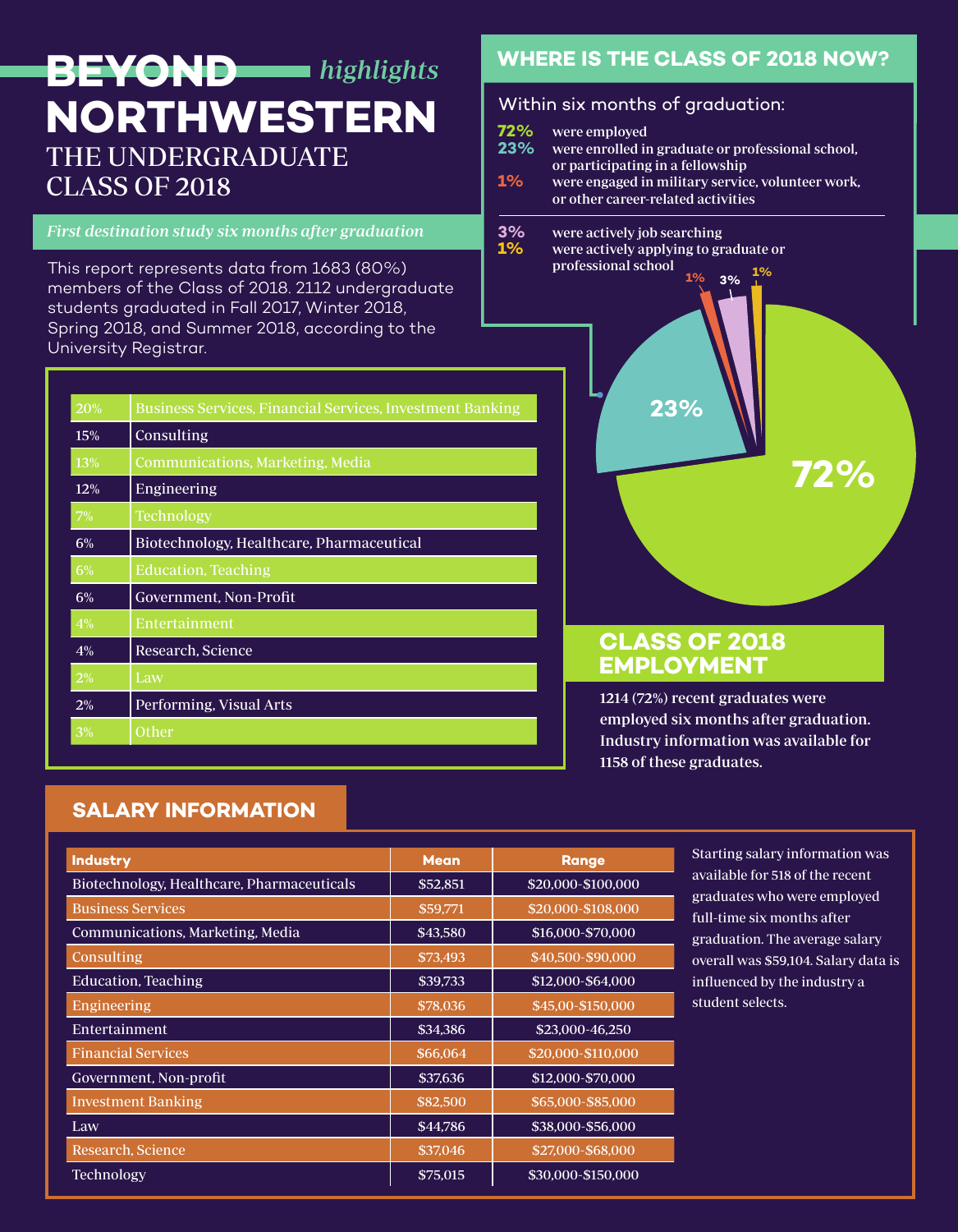# THE UNDERGRADUATE CLASS OF 2018 **BEYOND** *highlights* **NORTHWESTERN Within six months of graduation:**

#### First destination study six months after graduation

This report represents data from 1683 (80%) members of the Class of 2018. 2112 undergraduate students graduated in Fall 2017, Winter 2018, Spring 2018, and Summer 2018, according to the University Registrar.

| 20%              | Business Services, Financial Services, Investment Banking |  |  |
|------------------|-----------------------------------------------------------|--|--|
| 15%              | Consulting                                                |  |  |
| <b>13%</b>       | Communications, Marketing, Media                          |  |  |
| 12%              | Engineering                                               |  |  |
| 7%               | <b>Technology</b>                                         |  |  |
| $6\%$            | Biotechnology, Healthcare, Pharmaceutical                 |  |  |
| $\overline{6\%}$ | Education, Teaching                                       |  |  |
| $6\%$            | Government, Non-Profit                                    |  |  |
| 4%               | Entertainment                                             |  |  |
| $4\%$            | Research, Science                                         |  |  |
| 2%               | Law                                                       |  |  |
| 2%               | Performing, Visual Arts                                   |  |  |
| 3%               | Other                                                     |  |  |

# **WHERE IS THE CLASS OF 2018 NOW?**

**72%** were employed

- **23%** were enrolled in graduate or professional school, or participating in a fellowship<br>1% were engaged in military service
- **1%** were engaged in military service, volunteer work, or other career-related activities
- **3%** were actively job searching<br>**1%** were actively applying to gr
- **1%** were actively applying to graduate or professional school **1% 1% 3%**



# **CLASS OF 2018 EMPLOYMENT**

1214 (72%) recent graduates were employed six months after graduation. Industry information was available for 1158 of these graduates.

# **SALARY INFORMATION**

| <b>Industry</b>                            | <b>Mean</b> | <b>Range</b>       |
|--------------------------------------------|-------------|--------------------|
| Biotechnology, Healthcare, Pharmaceuticals | \$52,851    | \$20,000-\$100,000 |
| <b>Business Services</b>                   | \$59,771    | \$20,000-\$108,000 |
| Communications, Marketing, Media           | \$43,580    | \$16,000-\$70,000  |
| Consulting                                 | \$73,493    | \$40,500-\$90,000  |
| Education, Teaching                        | \$39,733    | \$12,000-\$64,000  |
| Engineering                                | \$78,036    | \$45,00-\$150,000  |
| Entertainment                              | \$34,386    | \$23,000-46,250    |
| <b>Financial Services</b>                  | \$66,064    | \$20,000-\$110,000 |
| Government, Non-profit                     | \$37,636    | \$12,000-\$70,000  |
| <b>Investment Banking</b>                  | \$82,500    | \$65,000-\$85,000  |
| Law                                        | \$44,786    | \$38,000-\$56,000  |
| Research, Science                          | \$37,046    | \$27,000-\$68,000  |
| <b>Technology</b>                          | \$75,015    | \$30,000-\$150,000 |

Starting salary information was available for 518 of the recent graduates who were employed full-time six months after graduation. The average salary overall was \$59,104. Salary data is influenced by the industry a student selects.

**72%**